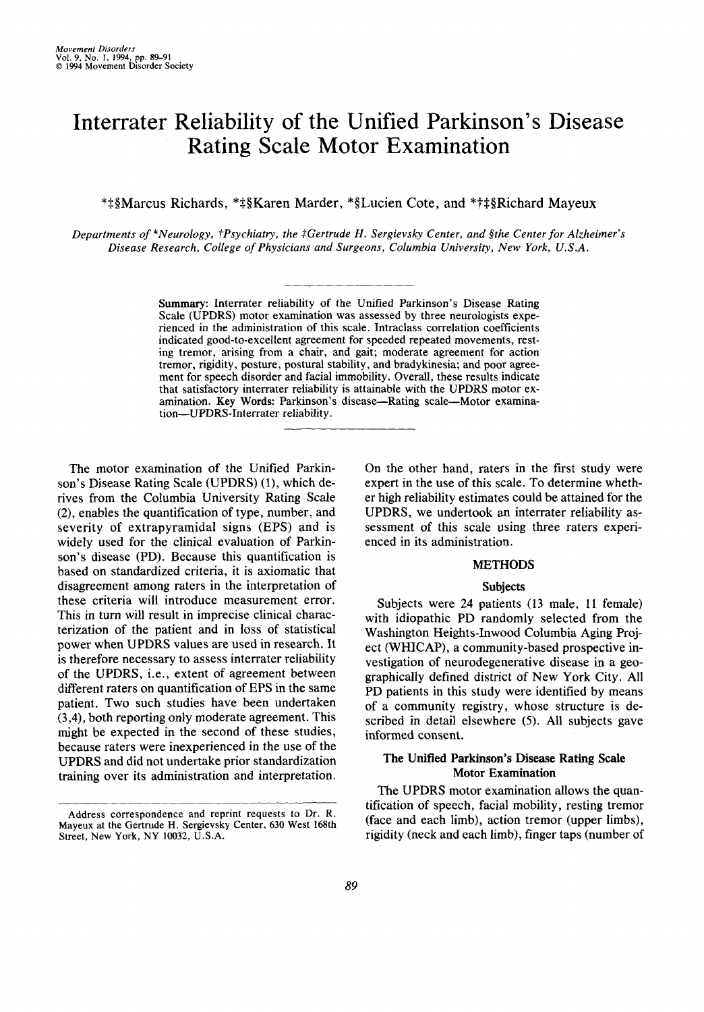# Interrater Reliability of the Unified Parkinson's Disease Rating Scale Motor Examination

\*\$§Marcus Richards, \*\$§Karen Marder, \*§Lucien Cote, and \*?\$§Richard Mayeux

*Departments of \*Neurology, ?Psychiatry, the \$Gertrude H. Sergievsky Center, and §the Center for Alzheimer's Disease Research, College of Physicians and Surgeons, Columbia University, New York, U.S.A.* 

> **Summary: Interrater reliability of the Unified Parkinson's Disease Rating Scale (UPDRS) motor examination was assessed by three neurologists experienced in the administration of this scale. Intraclass correlation coefficients indicated good-to-excellent agreement for speeded repeated movements, resting tremor, arising from a chair, and gait; moderate agreement for action tremor, rigidity, posture, postural stability, and bradykinesia; and poor agreement for speech disorder and facial immobility. Overall, these results indicate that satisfactory interrater reliability is attainable with the UPDRS motor ex**amination. Key Words: Parkinson's disease-Rating scale-Motor examina**tion-UPDRS-Interrater reliability.**

The motor examination of the Unified Parkinson's Disease Rating Scale (UPDRS) (l), which derives from the Columbia University Rating Scale **(2),** enables the quantification of type, number, and severity of extrapyramidal signs (EPS) and is widely used for the clinical evaluation of Parkinson's disease (PD). Because this quantification is based on standardized criteria, it is axiomatic that disagreement among raters in the interpretation of these criteria will introduce measurement error. This in turn will result in imprecise clinical characterization **of** the patient and in loss of statistical power when UPDRS values are used in research. It is therefore necessary to assess interrater reliability of the UPDRS, i.e., extent **of** agreement between different raters on quantification **of** EPS in the same patient. Two such studies have been undertaken **(3,4),** both reporting only moderate agreement. This might be expected in the second of these studies, because raters were inexperienced in the use of the UPDRS and did not undertake prior standardization training over its administration and interpretation.

On the other hand, raters in the first study were expert in the use **of** this scale. To determine whether high reliability estimates could be attained for the UPDRS, we undertook an interrater reliability assessment of this scale using three raters experienced in its administration.

# **METHODS**

## **Subjects**

Subjects were **24** patients (13 male, 11 female) with idiopathic PD randomly selected from the Washington Heights-Inwood Columbia Aging Project (WHJCAP), a community-based prospective investigation of neurodegenerative disease in a geographically defined district of New York City. All PD patients in this study were identified by means of a community registry, whose structure is described in detail elsewhere (5). All subjects gave informed consent.

## **The Unified Parkinson's Disease Rating Scale Motor Examination**

The UPDRS motor examination allows the quantification of speech, facial mobility, resting tremor (face and each limb), action tremor (upper limbs), rigidity (neck and each limb), finger taps (number of

**Address correspondence and reprint requests to Dr. R. Mayeux at the Gertrude H. Sergievsky Center, 630 West 168th Street, New York, NY 10032, U.S.A.**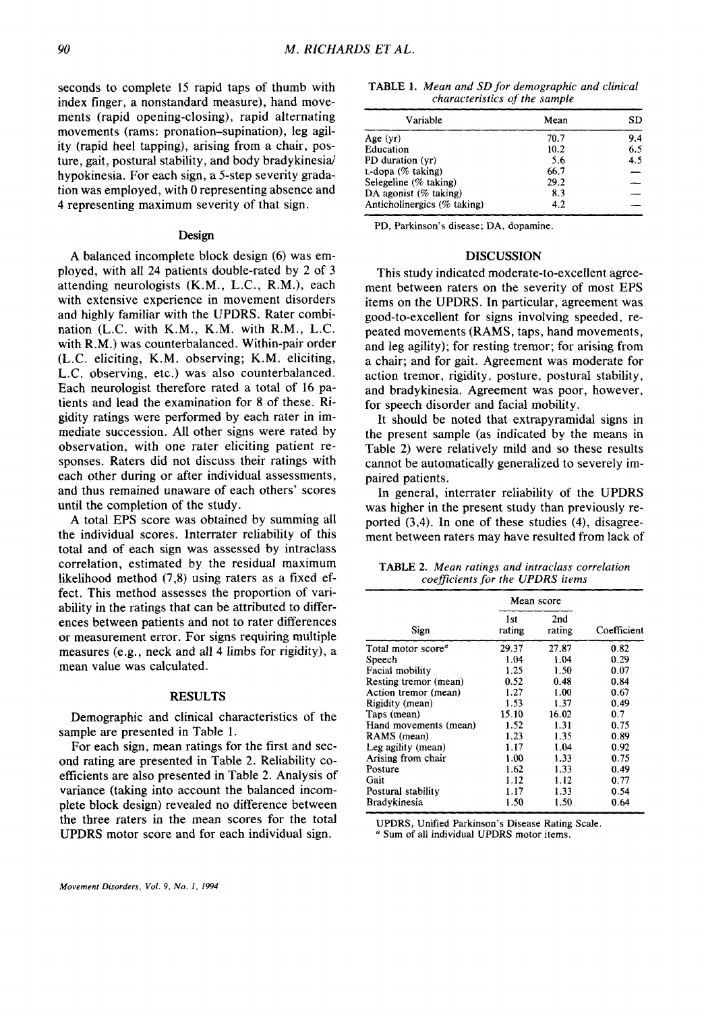seconds to complete 15 rapid taps of thumb with index finger, a nonstandard measure), hand movements (rapid opening-closing), rapid alternating movements (rams: pronation-supination), leg agility (rapid heel tapping), arising from a chair, posture, gait, postural stability, and body bradykinesia hypokinesia. For each sign, a 5-step severity gradation was employed, with **0** representing absence and **4** representing maximum severity of that sign.

#### Design

**A** balanced incomplete block design *(6)* was employed, with all **24** patients double-rated by 2 of *3*  attending neurologists (K.M., **L.C.,** R.M.), each with extensive experience in movement disorders and highly familiar with the UPDRS. Rater combination (L.C. with K.M., K.M. with R.M., **L.C.**  with R.M.) was counterbalanced. Within-pair order **(L.C.** eliciting, K.M. observing; K.M. eliciting, L.C. observing, etc.) was also counterbalanced. Each neurologist therefore rated a total of 16 patients and lead the examination for **8** of these. Rigidity ratings were performed by each rater in immediate succession. All other signs were rated by observation, with one rater eliciting patient responses. Raters did not discuss their ratings with each other during or after individual assessments, and thus remained unaware **of** each others' scores until the completion of the study.

**A** total EPS score was obtained by summing all the individual scores. Interrater reliability of this total and **of** each sign was assessed by intraclass correlation, estimated by the residual maximum likelihood method **(7,8)** using raters as a fixed effect. This method assesses the proportion of variability in the ratings that can be attributed to differences between patients and not to rater differences **or** measurement error. For signs requiring multiple measures (e.g., neck and all **4** limbs **for** rigidity), a mean value was calculated.

#### **RESULTS**

Demographic and clinical characteristics of the sample are presented in Table **1.** 

For each sign, mean ratings for the first and second rating are presented in Table 2. Reliability coefficients are also presented in Table **2.** Analysis of variance (taking into account the balanced incomplete block design) revealed no difference between the three raters in the mean scores for the total UPDRS motor score and for each individual sign.

*Movement Disorders, Vol. 9, No. 1, 1994* 

| <b>TABLE 1.</b> Mean and SD for demographic and clinical |  |
|----------------------------------------------------------|--|
| characteristics of the sample                            |  |

| Variable                    | Mean | SD                       |
|-----------------------------|------|--------------------------|
| Age (yr)                    | 70.7 | 9.4                      |
| Education                   | 10.2 | 6.5                      |
| PD duration (yr)            | 5.6  | 4.5                      |
| L-dopa (% taking)           | 66.7 | $\overline{\phantom{0}}$ |
| Selegeline ( $%$ taking)    | 29.2 |                          |
| DA agonist $(\%$ taking)    | 8.3  |                          |
| Anticholinergics (% taking) | 4.2  |                          |

**PD, Parkinson's disease; DA, dopamine.** 

#### **DISCUSSION**

This study indicated moderate-to-excellent agreement between raters on the severity of most EPS items on the UPDRS. In particular, agreement was good-to-excellent for signs involving speeded, repeated movements (RAMS, taps, hand movements, and leg agility); **for** resting tremor; for arising from a chair; and for gait. Agreement was moderate for action tremor, rigidity, posture, postural stability, and bradykinesia. Agreement was poor, however, for speech disorder and facial mobility.

It should be noted that extrapyramidal signs in the present sample (as indicated by the means in Table **2)** were relatively mild and *so* these results cannot be automatically generalized to severely impaired patients.

In general, interrater reliability of the UPDRS was higher in the present study than previously reported **(3,4).** In one of these studies **(4),** disagreement between raters may have resulted from lack of

**TABLE 2.** *Mean ratings and intraclass correlation coefficients* **for** *the UPDRS items* 

|                                       | Mean score    |               |             |
|---------------------------------------|---------------|---------------|-------------|
| Sign                                  | 1st<br>rating | 2nd<br>rating | Coefficient |
| Total motor score <sup><i>a</i></sup> | 29.37         | 27.87         | 0.82        |
| Speech                                | 1.04          | 1.04          | 0.29        |
| Facial mobility                       | 1.25          | 1.50          | 0.07        |
| Resting tremor (mean)                 | 0.52          | 0.48          | 0.84        |
| Action tremor (mean)                  | 1.27          | 1.00          | 0.67        |
| Rigidity (mean)                       | 1.53          | 1.37          | 0.49        |
| Taps (mean)                           | 15.10         | 16.02         | 0.7         |
| Hand movements (mean)                 | 1.52          | 1.31          | 0.75        |
| RAMS (mean)                           | 1.23          | 1.35          | 0.89        |
| Leg agility (mean)                    | 1.17          | 1.04          | 0.92        |
| Arising from chair                    | 1.00          | 1.33          | 0.75        |
| Posture                               | 1.62          | 1.33          | 0.49        |
| Gait                                  | 1.12          | 1.12          | 0.77        |
| Postural stability                    | 1.17          | 1.33          | 0.54        |
| Bradykinesia                          | 1.50          | 1.50          | 0.64        |

**UPDRS, Unified Parkinson's Disease Rating Scale.** 

*<sup>a</sup>*Sum of **all individual UPDRS motor items.**